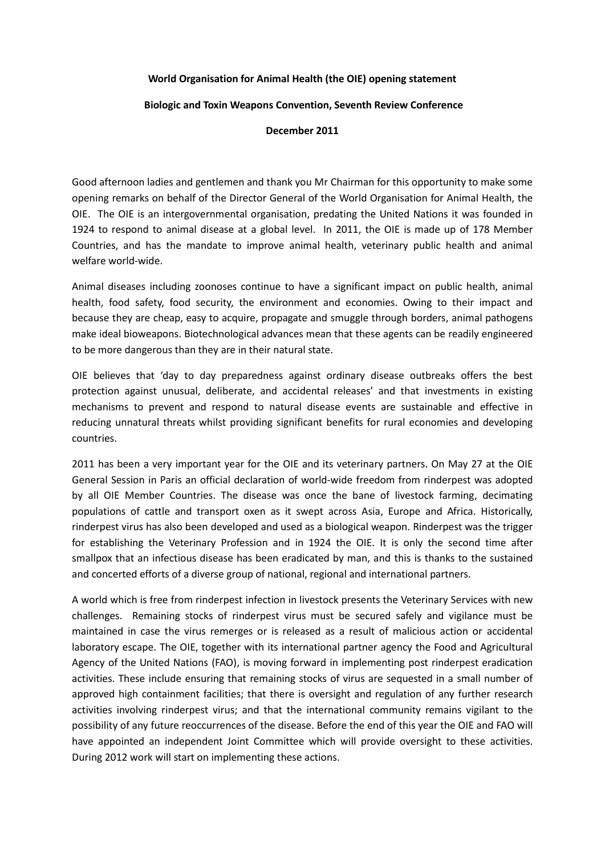## **World Organisation for Animal Health (the OIE) opening statement**

## **Biologic and Toxin Weapons Convention, Seventh Review Conference**

## **December 2011**

Good afternoon ladies and gentlemen and thank you Mr Chairman for this opportunity to make some opening remarks on behalf of the Director General of the World Organisation for Animal Health, the OIE. The OIE is an intergovernmental organisation, predating the United Nations it was founded in 1924 to respond to animal disease at a global level. In 2011, the OIE is made up of 178 Member Countries, and has the mandate to improve animal health, veterinary public health and animal welfare world-wide.

Animal diseases including zoonoses continue to have a significant impact on public health, animal health, food safety, food security, the environment and economies. Owing to their impact and because they are cheap, easy to acquire, propagate and smuggle through borders, animal pathogens make ideal bioweapons. Biotechnological advances mean that these agents can be readily engineered to be more dangerous than they are in their natural state.

OIE believes that 'day to day preparedness against ordinary disease outbreaks offers the best protection against unusual, deliberate, and accidental releases' and that investments in existing mechanisms to prevent and respond to natural disease events are sustainable and effective in reducing unnatural threats whilst providing significant benefits for rural economies and developing countries.

2011 has been a very important year for the OIE and its veterinary partners. On May 27 at the OIE General Session in Paris an official declaration of world-wide freedom from rinderpest was adopted by all OIE Member Countries. The disease was once the bane of livestock farming, decimating populations of cattle and transport oxen as it swept across Asia, Europe and Africa. Historically, rinderpest virus has also been developed and used as a biological weapon. Rinderpest was the trigger for establishing the Veterinary Profession and in 1924 the OIE. It is only the second time after smallpox that an infectious disease has been eradicated by man, and this is thanks to the sustained and concerted efforts of a diverse group of national, regional and international partners.

A world which is free from rinderpest infection in livestock presents the Veterinary Services with new challenges. Remaining stocks of rinderpest virus must be secured safely and vigilance must be maintained in case the virus remerges or is released as a result of malicious action or accidental laboratory escape. The OIE, together with its international partner agency the Food and Agricultural Agency of the United Nations (FAO), is moving forward in implementing post rinderpest eradication activities. These include ensuring that remaining stocks of virus are sequested in a small number of approved high containment facilities; that there is oversight and regulation of any further research activities involving rinderpest virus; and that the international community remains vigilant to the possibility of any future reoccurrences of the disease. Before the end of this year the OIE and FAO will have appointed an independent Joint Committee which will provide oversight to these activities. During 2012 work will start on implementing these actions.